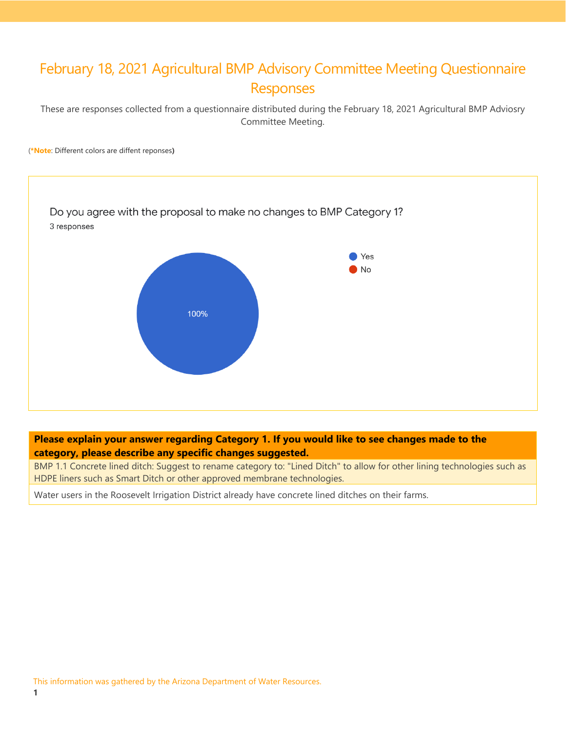# February 18, 2021 Agricultural BMP Advisory Committee Meeting Questionnaire Responses

These are responses collected from a questionnaire distributed during the February 18, 2021 Agricultural BMP Adviosry Committee Meeting.

(**\*Note**: Different colors are diffent reponses**)**



## **Please explain your answer regarding Category 1. If you would like to see changes made to the category, please describe any specific changes suggested.**

BMP 1.1 Concrete lined ditch: Suggest to rename category to: "Lined Ditch" to allow for other lining technologies such as HDPE liners such as Smart Ditch or other approved membrane technologies.

Water users in the Roosevelt Irrigation District already have concrete lined ditches on their farms.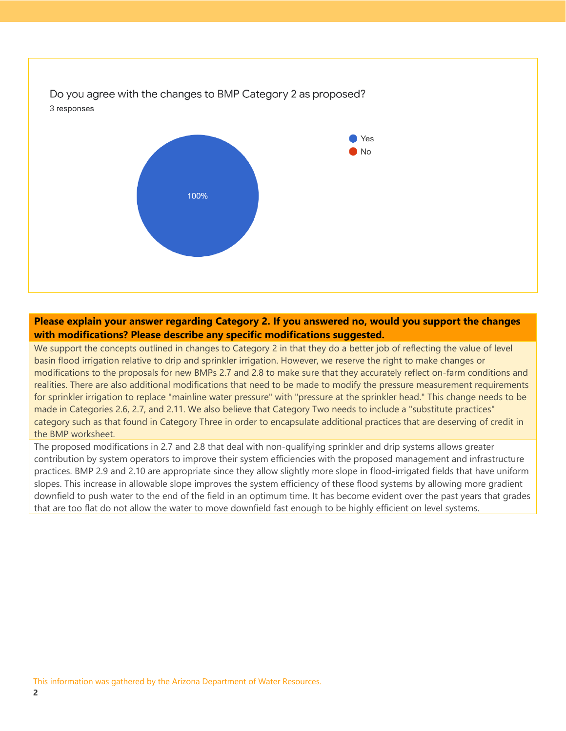

### **Please explain your answer regarding Category 2. If you answered no, would you support the changes with modifications? Please describe any specific modifications suggested.**

We support the concepts outlined in changes to Category 2 in that they do a better job of reflecting the value of level basin flood irrigation relative to drip and sprinkler irrigation. However, we reserve the right to make changes or modifications to the proposals for new BMPs 2.7 and 2.8 to make sure that they accurately reflect on-farm conditions and realities. There are also additional modifications that need to be made to modify the pressure measurement requirements for sprinkler irrigation to replace "mainline water pressure" with "pressure at the sprinkler head." This change needs to be made in Categories 2.6, 2.7, and 2.11. We also believe that Category Two needs to include a "substitute practices" category such as that found in Category Three in order to encapsulate additional practices that are deserving of credit in the BMP worksheet.

The proposed modifications in 2.7 and 2.8 that deal with non-qualifying sprinkler and drip systems allows greater contribution by system operators to improve their system efficiencies with the proposed management and infrastructure practices. BMP 2.9 and 2.10 are appropriate since they allow slightly more slope in flood-irrigated fields that have uniform slopes. This increase in allowable slope improves the system efficiency of these flood systems by allowing more gradient downfield to push water to the end of the field in an optimum time. It has become evident over the past years that grades that are too flat do not allow the water to move downfield fast enough to be highly efficient on level systems.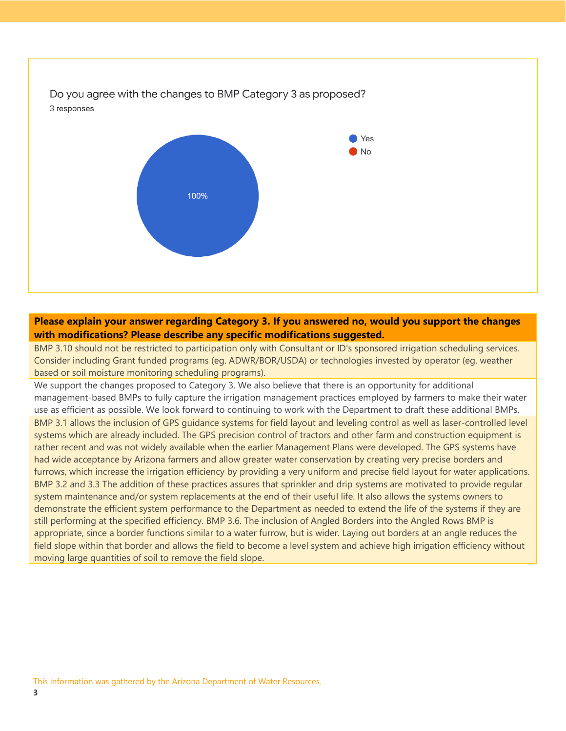

### **Please explain your answer regarding Category 3. If you answered no, would you support the changes with modifications? Please describe any specific modifications suggested.**

BMP 3.10 should not be restricted to participation only with Consultant or ID's sponsored irrigation scheduling services. Consider including Grant funded programs (eg. ADWR/BOR/USDA) or technologies invested by operator (eg. weather based or soil moisture monitoring scheduling programs).

We support the changes proposed to Category 3. We also believe that there is an opportunity for additional management-based BMPs to fully capture the irrigation management practices employed by farmers to make their water use as efficient as possible. We look forward to continuing to work with the Department to draft these additional BMPs. BMP 3.1 allows the inclusion of GPS guidance systems for field layout and leveling control as well as laser-controlled level systems which are already included. The GPS precision control of tractors and other farm and construction equipment is rather recent and was not widely available when the earlier Management Plans were developed. The GPS systems have had wide acceptance by Arizona farmers and allow greater water conservation by creating very precise borders and furrows, which increase the irrigation efficiency by providing a very uniform and precise field layout for water applications. BMP 3.2 and 3.3 The addition of these practices assures that sprinkler and drip systems are motivated to provide regular system maintenance and/or system replacements at the end of their useful life. It also allows the systems owners to demonstrate the efficient system performance to the Department as needed to extend the life of the systems if they are still performing at the specified efficiency. BMP 3.6. The inclusion of Angled Borders into the Angled Rows BMP is appropriate, since a border functions similar to a water furrow, but is wider. Laying out borders at an angle reduces the field slope within that border and allows the field to become a level system and achieve high irrigation efficiency without moving large quantities of soil to remove the field slope.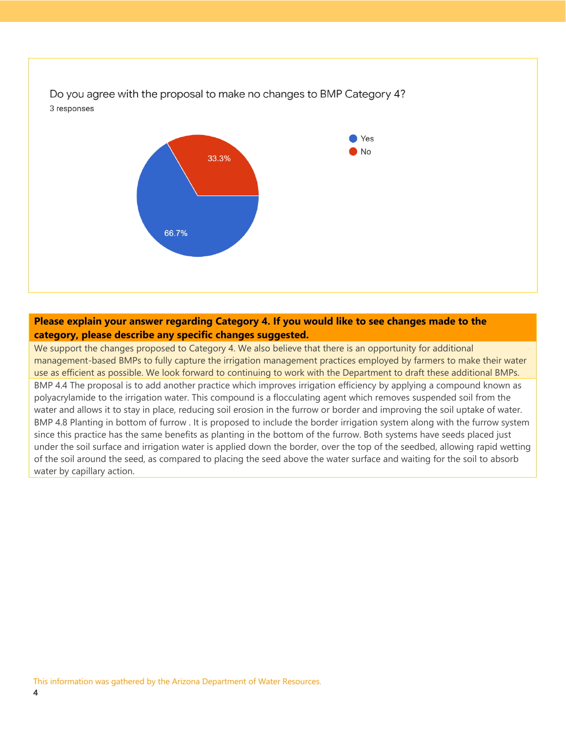

#### **Please explain your answer regarding Category 4. If you would like to see changes made to the category, please describe any specific changes suggested.**

We support the changes proposed to Category 4. We also believe that there is an opportunity for additional management-based BMPs to fully capture the irrigation management practices employed by farmers to make their water use as efficient as possible. We look forward to continuing to work with the Department to draft these additional BMPs. BMP 4.4 The proposal is to add another practice which improves irrigation efficiency by applying a compound known as polyacrylamide to the irrigation water. This compound is a flocculating agent which removes suspended soil from the water and allows it to stay in place, reducing soil erosion in the furrow or border and improving the soil uptake of water. BMP 4.8 Planting in bottom of furrow . It is proposed to include the border irrigation system along with the furrow system since this practice has the same benefits as planting in the bottom of the furrow. Both systems have seeds placed just under the soil surface and irrigation water is applied down the border, over the top of the seedbed, allowing rapid wetting of the soil around the seed, as compared to placing the seed above the water surface and waiting for the soil to absorb water by capillary action.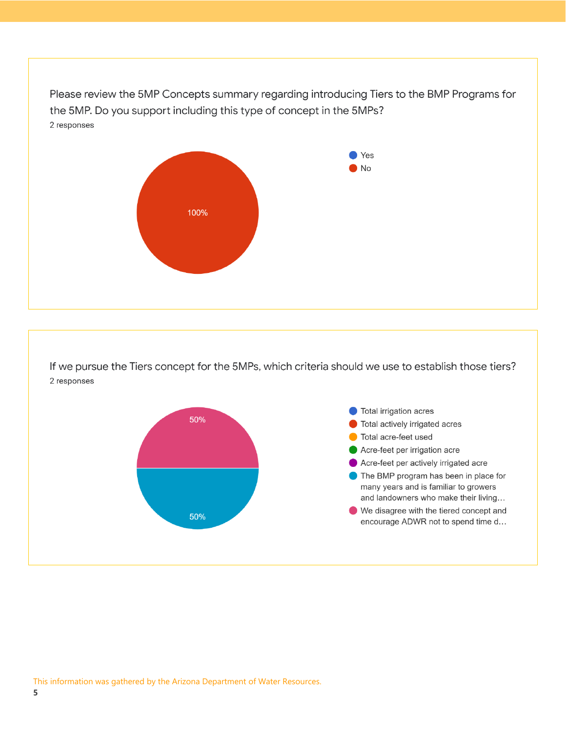Please review the 5MP Concepts summary regarding introducing Tiers to the BMP Programs for the 5MP. Do you support including this type of concept in the 5MPs? 2 responses



If we pursue the Tiers concept for the 5MPs, which criteria should we use to establish those tiers? 2 responses